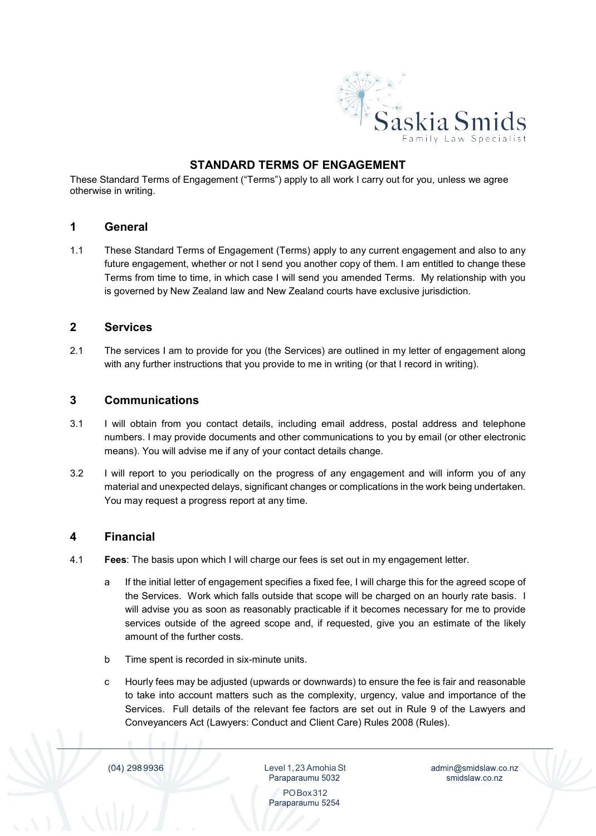

## **STANDARD TERMS OF ENGAGEMENT**

These Standard Terms of Engagement ("Terms") apply to all work I carry out for you, unless we agree otherwise in writing.

#### **1 General**

1.1 These Standard Terms of Engagement (Terms) apply to any current engagement and also to any future engagement, whether or not I send you another copy of them. I am entitled to change these Terms from time to time, in which case I will send you amended Terms. My relationship with you is governed by New Zealand law and New Zealand courts have exclusive jurisdiction.

#### **2 Services**

2.1 The services I am to provide for you (the Services) are outlined in my letter of engagement along with any further instructions that you provide to me in writing (or that I record in writing).

#### **3 Communications**

- 3.1 I will obtain from you contact details, including email address, postal address and telephone numbers. I may provide documents and other communications to you by email (or other electronic means). You will advise me if any of your contact details change.
- 3.2 I will report to you periodically on the progress of any engagement and will inform you of any material and unexpected delays, significant changes or complications in the work being undertaken. You may request a progress report at any time.

#### **4 Financial**

- 4.1 **Fees**: The basis upon which I will charge our fees is set out in my engagement letter.
	- a If the initial letter of engagement specifies a fixed fee, I will charge this for the agreed scope of the Services. Work which falls outside that scope will be charged on an hourly rate basis. I will advise you as soon as reasonably practicable if it becomes necessary for me to provide services outside of the agreed scope and, if requested, give you an estimate of the likely amount of the further costs.
	- b Time spent is recorded in six-minute units.
	- c Hourly fees may be adjusted (upwards or downwards) to ensure the fee is fair and reasonable to take into account matters such as the complexity, urgency, value and importance of the Services. Full details of the relevant fee factors are set out in Rule 9 of the Lawyers and Conveyancers Act (Lawyers: Conduct and Client Care) Rules 2008 (Rules).

(04) 298 9936

Level 1,23 Amohia St Paraparaumu 5032

admin@smidslaw.co.nz smidslaw.co.nz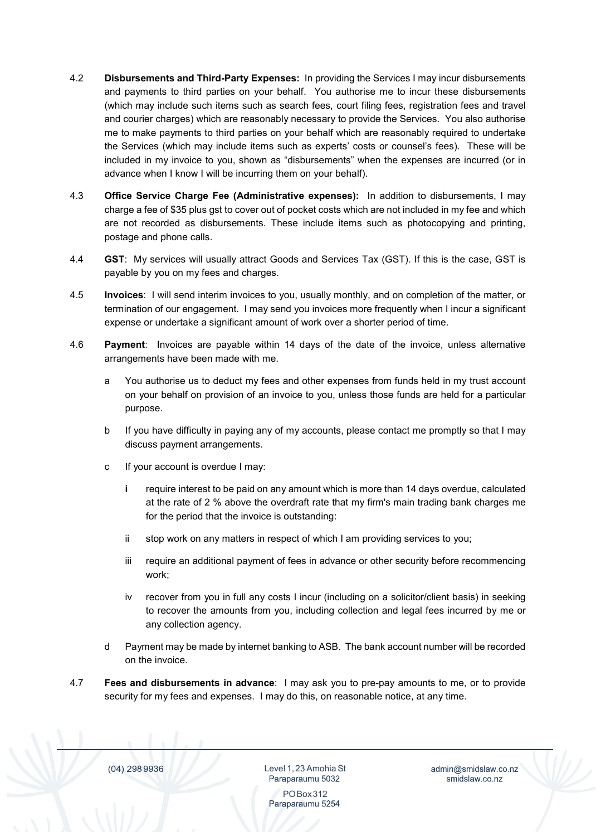- 4.2 **Disbursements and Third-Party Expenses:** In providing the Services I may incur disbursements and payments to third parties on your behalf. You authorise me to incur these disbursements (which may include such items such as search fees, court filing fees, registration fees and travel and courier charges) which are reasonably necessary to provide the Services. You also authorise me to make payments to third parties on your behalf which are reasonably required to undertake the Services (which may include items such as experts' costs or counsel's fees). These will be included in my invoice to you, shown as "disbursements" when the expenses are incurred (or in advance when I know I will be incurring them on your behalf).
- 4.3 **Office Service Charge Fee (Administrative expenses):** In addition to disbursements, I may charge a fee of \$35 plus gst to cover out of pocket costs which are not included in my fee and which are not recorded as disbursements. These include items such as photocopying and printing, postage and phone calls.
- 4.4 **GST**: My services will usually attract Goods and Services Tax (GST). If this is the case, GST is payable by you on my fees and charges.
- 4.5 **Invoices**: I will send interim invoices to you, usually monthly, and on completion of the matter, or termination of our engagement. I may send you invoices more frequently when I incur a significant expense or undertake a significant amount of work over a shorter period of time.
- 4.6 **Payment**: Invoices are payable within 14 days of the date of the invoice, unless alternative arrangements have been made with me.
	- a You authorise us to deduct my fees and other expenses from funds held in my trust account on your behalf on provision of an invoice to you, unless those funds are held for a particular purpose.
	- b If you have difficulty in paying any of my accounts, please contact me promptly so that I may discuss payment arrangements.
	- c If your account is overdue I may:
		- **i** require interest to be paid on any amount which is more than 14 days overdue, calculated at the rate of 2 % above the overdraft rate that my firm's main trading bank charges me for the period that the invoice is outstanding:
		- ii stop work on any matters in respect of which I am providing services to you;
		- iii require an additional payment of fees in advance or other security before recommencing work;
		- iv recover from you in full any costs I incur (including on a solicitor/client basis) in seeking to recover the amounts from you, including collection and legal fees incurred by me or any collection agency.
	- d Payment may be made by internet banking to ASB. The bank account number will be recorded on the invoice.
- 4.7 **Fees and disbursements in advance**: I may ask you to pre-pay amounts to me, or to provide security for my fees and expenses. I may do this, on reasonable notice, at any time.

(04) 298 9936

Level 1,23 Amohia St

admin@smidslaw.co.nz smidslaw.co.nz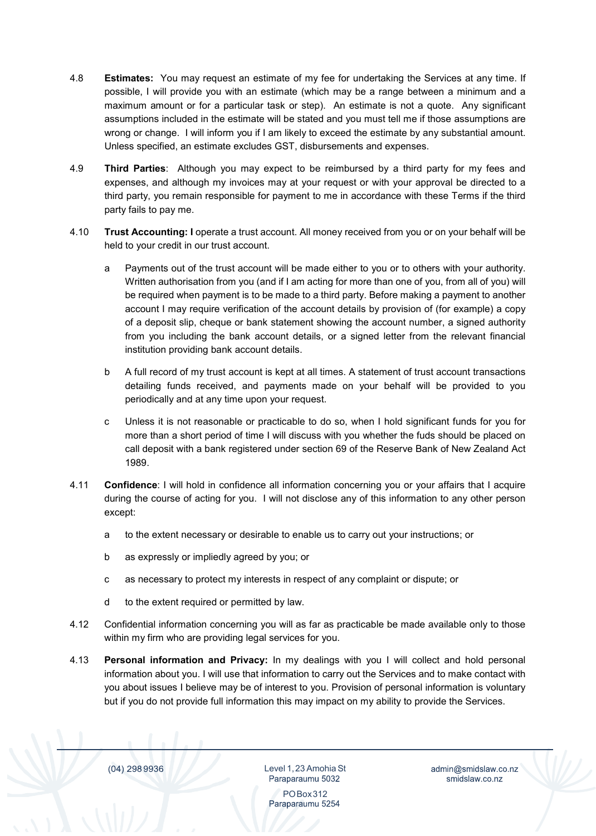- 4.8 **Estimates:** You may request an estimate of my fee for undertaking the Services at any time. If possible, I will provide you with an estimate (which may be a range between a minimum and a maximum amount or for a particular task or step). An estimate is not a quote. Any significant assumptions included in the estimate will be stated and you must tell me if those assumptions are wrong or change. I will inform you if I am likely to exceed the estimate by any substantial amount. Unless specified, an estimate excludes GST, disbursements and expenses.
- 4.9 **Third Parties**: Although you may expect to be reimbursed by a third party for my fees and expenses, and although my invoices may at your request or with your approval be directed to a third party, you remain responsible for payment to me in accordance with these Terms if the third party fails to pay me.
- 4.10 **Trust Accounting: I** operate a trust account. All money received from you or on your behalf will be held to your credit in our trust account.
	- a Payments out of the trust account will be made either to you or to others with your authority. Written authorisation from you (and if I am acting for more than one of you, from all of you) will be required when payment is to be made to a third party. Before making a payment to another account I may require verification of the account details by provision of (for example) a copy of a deposit slip, cheque or bank statement showing the account number, a signed authority from you including the bank account details, or a signed letter from the relevant financial institution providing bank account details.
	- b A full record of my trust account is kept at all times. A statement of trust account transactions detailing funds received, and payments made on your behalf will be provided to you periodically and at any time upon your request.
	- c Unless it is not reasonable or practicable to do so, when I hold significant funds for you for more than a short period of time I will discuss with you whether the fuds should be placed on call deposit with a bank registered under section 69 of the Reserve Bank of New Zealand Act 1989.
- 4.11 **Confidence**: I will hold in confidence all information concerning you or your affairs that I acquire during the course of acting for you. I will not disclose any of this information to any other person except:
	- a to the extent necessary or desirable to enable us to carry out your instructions; or
	- b as expressly or impliedly agreed by you; or
	- c as necessary to protect my interests in respect of any complaint or dispute; or
	- d to the extent required or permitted by law.
- 4.12 Confidential information concerning you will as far as practicable be made available only to those within my firm who are providing legal services for you.
- 4.13 **Personal information and Privacy:** In my dealings with you I will collect and hold personal information about you. I will use that information to carry out the Services and to make contact with you about issues I believe may be of interest to you. Provision of personal information is voluntary but if you do not provide full information this may impact on my ability to provide the Services.

(04) 298 9936

Level 1,23 Amohia St

admin@smidslaw.co.nz smidslaw.co.nz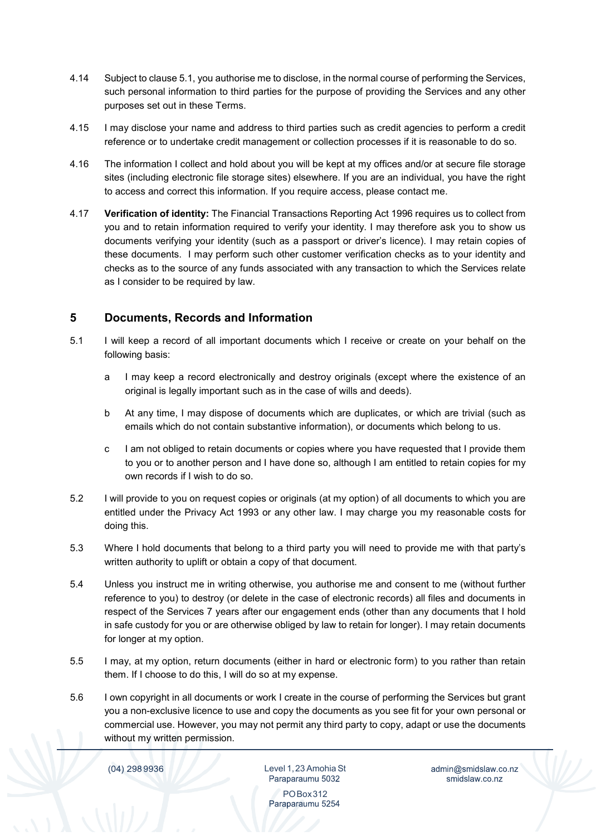- 4.14 Subject to clause 5.1, you authorise me to disclose, in the normal course of performing the Services, such personal information to third parties for the purpose of providing the Services and any other purposes set out in these Terms.
- 4.15 I may disclose your name and address to third parties such as credit agencies to perform a credit reference or to undertake credit management or collection processes if it is reasonable to do so.
- 4.16 The information I collect and hold about you will be kept at my offices and/or at secure file storage sites (including electronic file storage sites) elsewhere. If you are an individual, you have the right to access and correct this information. If you require access, please contact me.
- 4.17 **Verification of identity:** The Financial Transactions Reporting Act 1996 requires us to collect from you and to retain information required to verify your identity. I may therefore ask you to show us documents verifying your identity (such as a passport or driver's licence). I may retain copies of these documents. I may perform such other customer verification checks as to your identity and checks as to the source of any funds associated with any transaction to which the Services relate as I consider to be required by law.

### **5 Documents, Records and Information**

- 5.1 I will keep a record of all important documents which I receive or create on your behalf on the following basis:
	- a I may keep a record electronically and destroy originals (except where the existence of an original is legally important such as in the case of wills and deeds).
	- b At any time, I may dispose of documents which are duplicates, or which are trivial (such as emails which do not contain substantive information), or documents which belong to us.
	- c I am not obliged to retain documents or copies where you have requested that I provide them to you or to another person and I have done so, although I am entitled to retain copies for my own records if I wish to do so.
- 5.2 I will provide to you on request copies or originals (at my option) of all documents to which you are entitled under the Privacy Act 1993 or any other law. I may charge you my reasonable costs for doing this.
- 5.3 Where I hold documents that belong to a third party you will need to provide me with that party's written authority to uplift or obtain a copy of that document.
- 5.4 Unless you instruct me in writing otherwise, you authorise me and consent to me (without further reference to you) to destroy (or delete in the case of electronic records) all files and documents in respect of the Services 7 years after our engagement ends (other than any documents that I hold in safe custody for you or are otherwise obliged by law to retain for longer). I may retain documents for longer at my option.
- 5.5 I may, at my option, return documents (either in hard or electronic form) to you rather than retain them. If I choose to do this, I will do so at my expense.
- 5.6 I own copyright in all documents or work I create in the course of performing the Services but grant you a non-exclusive licence to use and copy the documents as you see fit for your own personal or commercial use. However, you may not permit any third party to copy, adapt or use the documents without my written permission.

(04) 298 9936

Level 1,23 Amohia St Paraparaumu 5032

admin@smidslaw.co.nz smidslaw.co.nz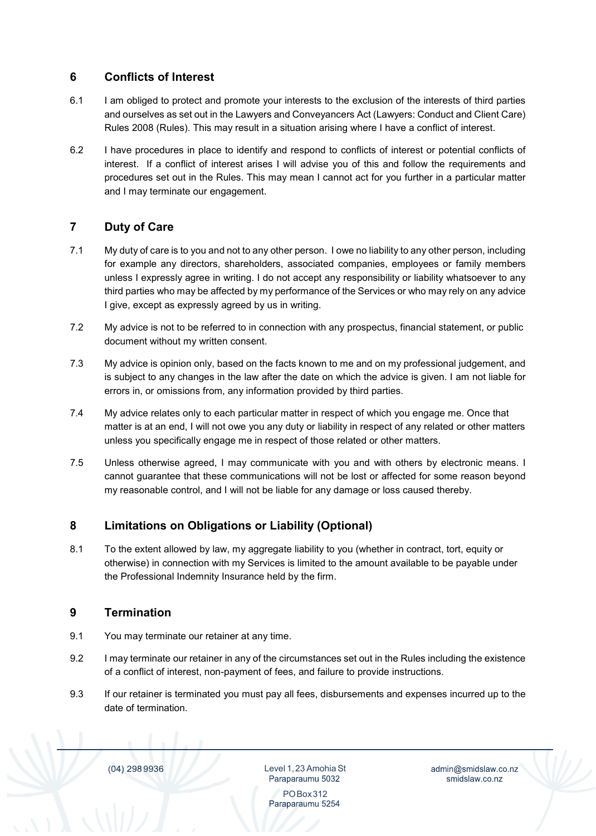## **6 Conflicts of Interest**

- 6.1 I am obliged to protect and promote your interests to the exclusion of the interests of third parties and ourselves as set out in the Lawyers and Conveyancers Act (Lawyers: Conduct and Client Care) Rules 2008 (Rules). This may result in a situation arising where I have a conflict of interest.
- 6.2 I have procedures in place to identify and respond to conflicts of interest or potential conflicts of interest. If a conflict of interest arises I will advise you of this and follow the requirements and procedures set out in the Rules. This may mean I cannot act for you further in a particular matter and I may terminate our engagement.

# **7 Duty of Care**

- 7.1 My duty of care is to you and not to any other person. I owe no liability to any other person, including for example any directors, shareholders, associated companies, employees or family members unless I expressly agree in writing. I do not accept any responsibility or liability whatsoever to any third parties who may be affected by my performance of the Services or who may rely on any advice I give, except as expressly agreed by us in writing.
- 7.2 My advice is not to be referred to in connection with any prospectus, financial statement, or public document without my written consent.
- 7.3 My advice is opinion only, based on the facts known to me and on my professional judgement, and is subject to any changes in the law after the date on which the advice is given. I am not liable for errors in, or omissions from, any information provided by third parties.
- 7.4 My advice relates only to each particular matter in respect of which you engage me. Once that matter is at an end, I will not owe you any duty or liability in respect of any related or other matters unless you specifically engage me in respect of those related or other matters.
- 7.5 Unless otherwise agreed, I may communicate with you and with others by electronic means. I cannot guarantee that these communications will not be lost or affected for some reason beyond my reasonable control, and I will not be liable for any damage or loss caused thereby.

## **8 Limitations on Obligations or Liability (Optional)**

8.1 To the extent allowed by law, my aggregate liability to you (whether in contract, tort, equity or otherwise) in connection with my Services is limited to the amount available to be payable under the Professional Indemnity Insurance held by the firm.

### **9 Termination**

- 9.1 You may terminate our retainer at any time.
- 9.2 I may terminate our retainer in any of the circumstances set out in the Rules including the existence of a conflict of interest, non-payment of fees, and failure to provide instructions.
- 9.3 If our retainer is terminated you must pay all fees, disbursements and expenses incurred up to the date of termination.

(04) 298 9936

Level 1,23 Amohia St Paraparaumu 5032

admin@smidslaw.co.nz smidslaw.co.nz